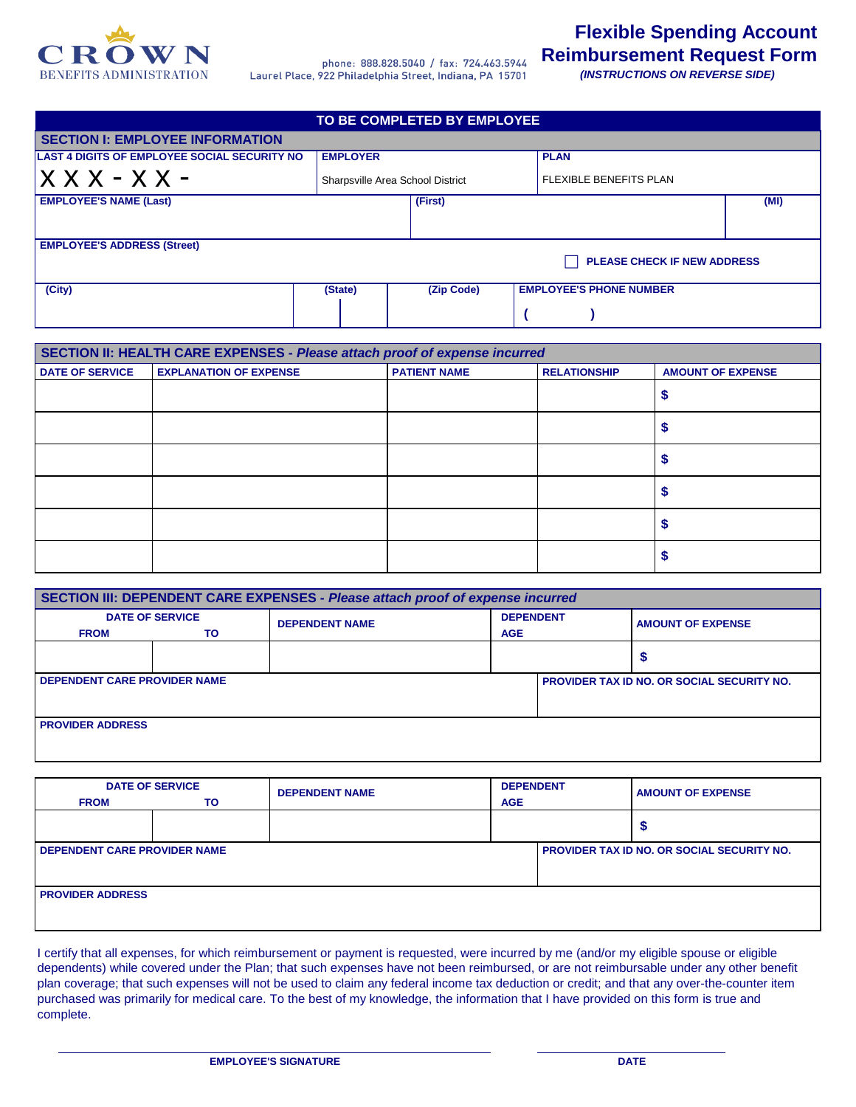

phone: 888.828.5040 / fax: 724.463.5944 Laurel Place, 922 Philadelphia Street, Indiana, PA 15701

**Flexible Spending Account Reimbursement Request Form**

 *(INSTRUCTIONS ON REVERSE SIDE)*

| TO BE COMPLETED BY EMPLOYEE                         |                 |                                  |                                |      |  |  |
|-----------------------------------------------------|-----------------|----------------------------------|--------------------------------|------|--|--|
| <b>SECTION I: EMPLOYEE INFORMATION</b>              |                 |                                  |                                |      |  |  |
| <b>LAST 4 DIGITS OF EMPLOYEE SOCIAL SECURITY NO</b> | <b>EMPLOYER</b> |                                  | <b>PLAN</b>                    |      |  |  |
|                                                     |                 | Sharpsville Area School District | <b>FLEXIBLE BENEFITS PLAN</b>  |      |  |  |
| <b>EMPLOYEE'S NAME (Last)</b>                       |                 | (First)                          |                                | (MI) |  |  |
|                                                     |                 |                                  |                                |      |  |  |
| <b>EMPLOYEE'S ADDRESS (Street)</b>                  |                 |                                  |                                |      |  |  |
| PLEASE CHECK IF NEW ADDRESS                         |                 |                                  |                                |      |  |  |
| (City)                                              | (State)         | (Zip Code)                       | <b>EMPLOYEE'S PHONE NUMBER</b> |      |  |  |
|                                                     |                 |                                  |                                |      |  |  |

| SECTION II: HEALTH CARE EXPENSES - Please attach proof of expense incurred |                               |                     |                     |                          |  |  |
|----------------------------------------------------------------------------|-------------------------------|---------------------|---------------------|--------------------------|--|--|
| <b>DATE OF SERVICE</b>                                                     | <b>EXPLANATION OF EXPENSE</b> | <b>PATIENT NAME</b> | <b>RELATIONSHIP</b> | <b>AMOUNT OF EXPENSE</b> |  |  |
|                                                                            |                               |                     |                     |                          |  |  |
|                                                                            |                               |                     |                     |                          |  |  |
|                                                                            |                               |                     |                     |                          |  |  |
|                                                                            |                               |                     |                     |                          |  |  |
|                                                                            |                               |                     |                     |                          |  |  |
|                                                                            |                               |                     |                     |                          |  |  |

| SECTION III: DEPENDENT CARE EXPENSES - Please attach proof of expense incurred |    |                       |                  |                                                   |  |  |
|--------------------------------------------------------------------------------|----|-----------------------|------------------|---------------------------------------------------|--|--|
| <b>DATE OF SERVICE</b>                                                         |    | <b>DEPENDENT NAME</b> | <b>DEPENDENT</b> | <b>AMOUNT OF EXPENSE</b>                          |  |  |
| <b>FROM</b>                                                                    | ΤO |                       | <b>AGE</b>       |                                                   |  |  |
|                                                                                |    |                       |                  |                                                   |  |  |
| <b>DEPENDENT CARE PROVIDER NAME</b>                                            |    |                       |                  | <b>PROVIDER TAX ID NO. OR SOCIAL SECURITY NO.</b> |  |  |
| <b>PROVIDER ADDRESS</b>                                                        |    |                       |                  |                                                   |  |  |

| <b>FROM</b>                         | <b>DATE OF SERVICE</b><br>TO | <b>DEPENDENT NAME</b> | <b>DEPENDENT</b><br><b>AGE</b> |                                                   | <b>AMOUNT OF EXPENSE</b> |
|-------------------------------------|------------------------------|-----------------------|--------------------------------|---------------------------------------------------|--------------------------|
|                                     |                              |                       |                                |                                                   |                          |
| <b>DEPENDENT CARE PROVIDER NAME</b> |                              |                       |                                | <b>PROVIDER TAX ID NO. OR SOCIAL SECURITY NO.</b> |                          |
| <b>PROVIDER ADDRESS</b>             |                              |                       |                                |                                                   |                          |

I certify that all expenses, for which reimbursement or payment is requested, were incurred by me (and/or my eligible spouse or eligible dependents) while covered under the Plan; that such expenses have not been reimbursed, or are not reimbursable under any other benefit plan coverage; that such expenses will not be used to claim any federal income tax deduction or credit; and that any over-the-counter item purchased was primarily for medical care. To the best of my knowledge, the information that I have provided on this form is true and complete.